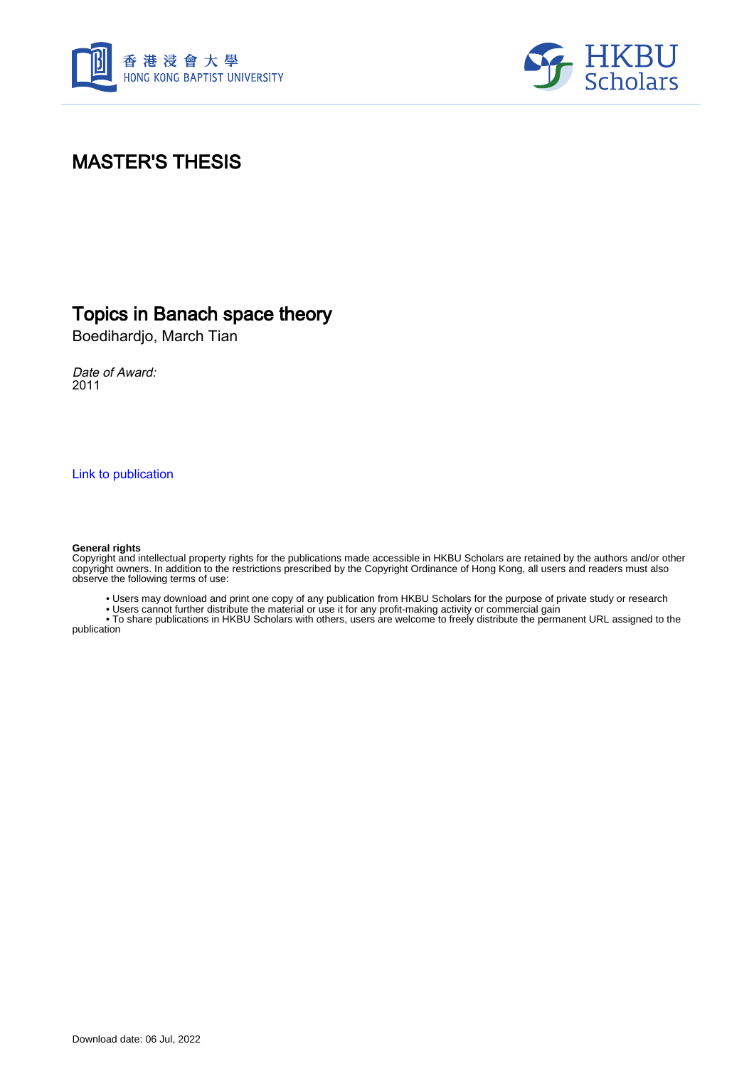



## MASTER'S THESIS

### Topics in Banach space theory

Boedihardjo, March Tian

Date of Award: 2011

[Link to publication](https://scholars.hkbu.edu.hk/en/studentTheses/b245d940-343e-430d-9164-ba3e7202e1b1)

#### **General rights**

Copyright and intellectual property rights for the publications made accessible in HKBU Scholars are retained by the authors and/or other copyright owners. In addition to the restrictions prescribed by the Copyright Ordinance of Hong Kong, all users and readers must also observe the following terms of use:

• Users may download and print one copy of any publication from HKBU Scholars for the purpose of private study or research

• Users cannot further distribute the material or use it for any profit-making activity or commercial gain

 • To share publications in HKBU Scholars with others, users are welcome to freely distribute the permanent URL assigned to the publication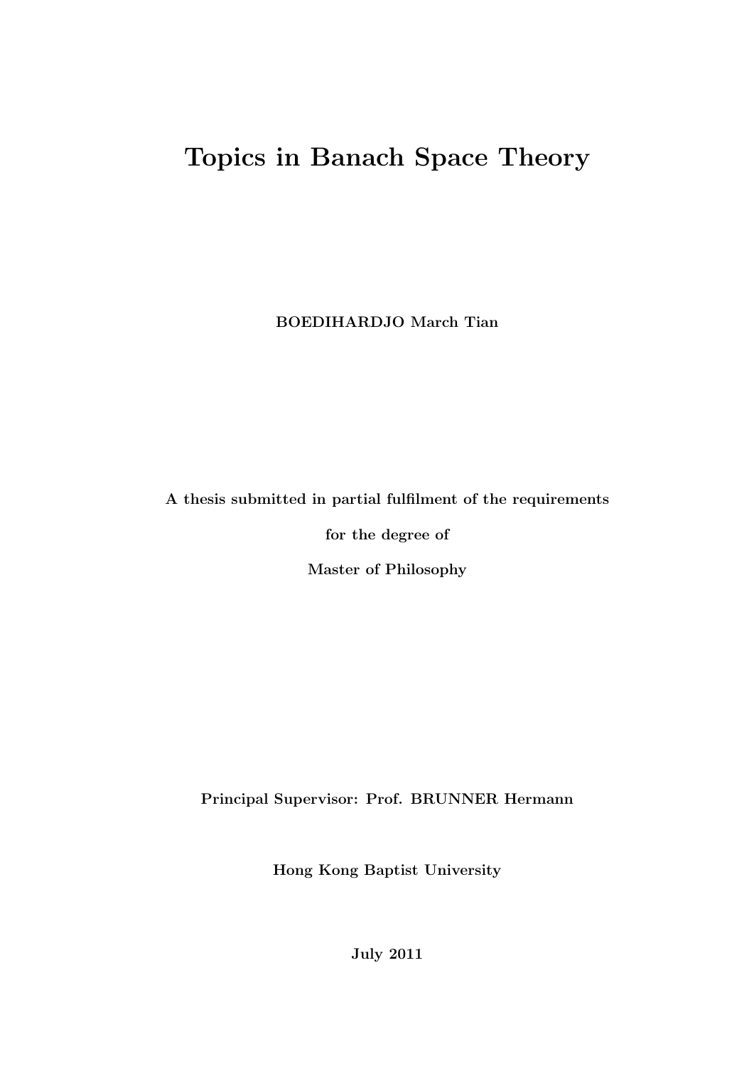# Topics in Banach Space Theory

BOEDIHARDJO March Tian

A thesis submitted in partial fulfilment of the requirements

for the degree of

Master of Philosophy

Principal Supervisor: Prof. BRUNNER Hermann

Hong Kong Baptist University

July 2011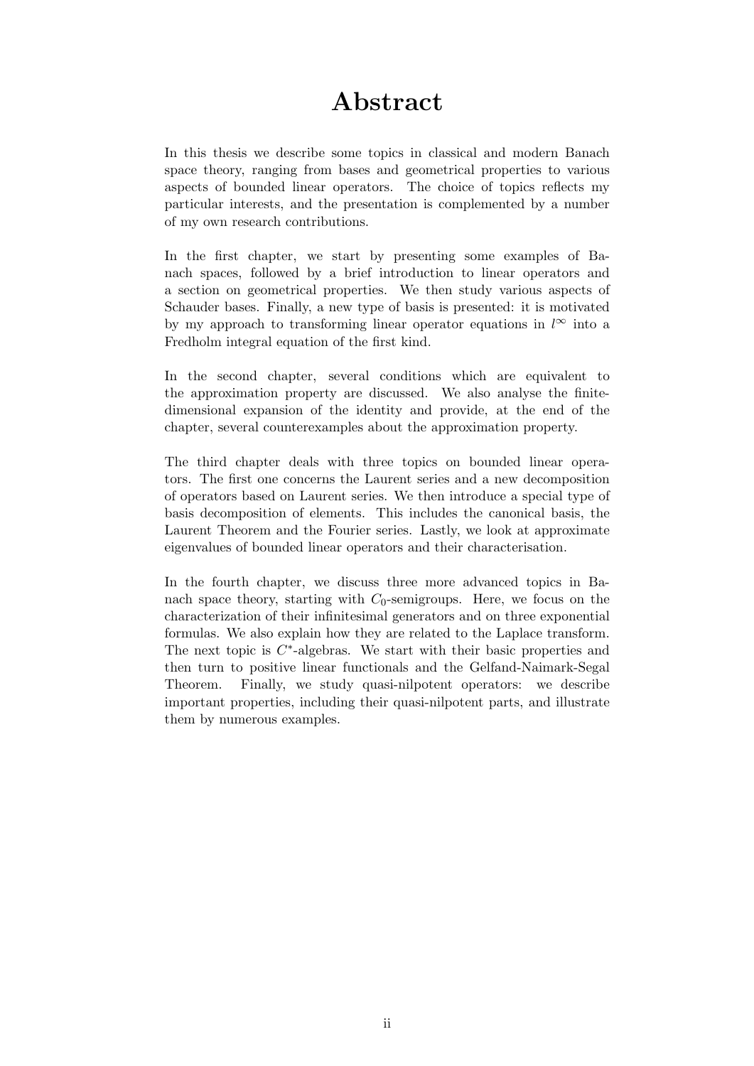## Abstract

In this thesis we describe some topics in classical and modern Banach space theory, ranging from bases and geometrical properties to various aspects of bounded linear operators. The choice of topics reflects my particular interests, and the presentation is complemented by a number of my own research contributions.

In the first chapter, we start by presenting some examples of Banach spaces, followed by a brief introduction to linear operators and a section on geometrical properties. We then study various aspects of Schauder bases. Finally, a new type of basis is presented: it is motivated by my approach to transforming linear operator equations in  $l^{\infty}$  into a Fredholm integral equation of the first kind.

In the second chapter, several conditions which are equivalent to the approximation property are discussed. We also analyse the finitedimensional expansion of the identity and provide, at the end of the chapter, several counterexamples about the approximation property.

The third chapter deals with three topics on bounded linear operators. The first one concerns the Laurent series and a new decomposition of operators based on Laurent series. We then introduce a special type of basis decomposition of elements. This includes the canonical basis, the Laurent Theorem and the Fourier series. Lastly, we look at approximate eigenvalues of bounded linear operators and their characterisation.

In the fourth chapter, we discuss three more advanced topics in Banach space theory, starting with  $C_0$ -semigroups. Here, we focus on the characterization of their infinitesimal generators and on three exponential formulas. We also explain how they are related to the Laplace transform. The next topic is  $C^*$ -algebras. We start with their basic properties and then turn to positive linear functionals and the Gelfand-Naimark-Segal Theorem. Finally, we study quasi-nilpotent operators: we describe important properties, including their quasi-nilpotent parts, and illustrate them by numerous examples.